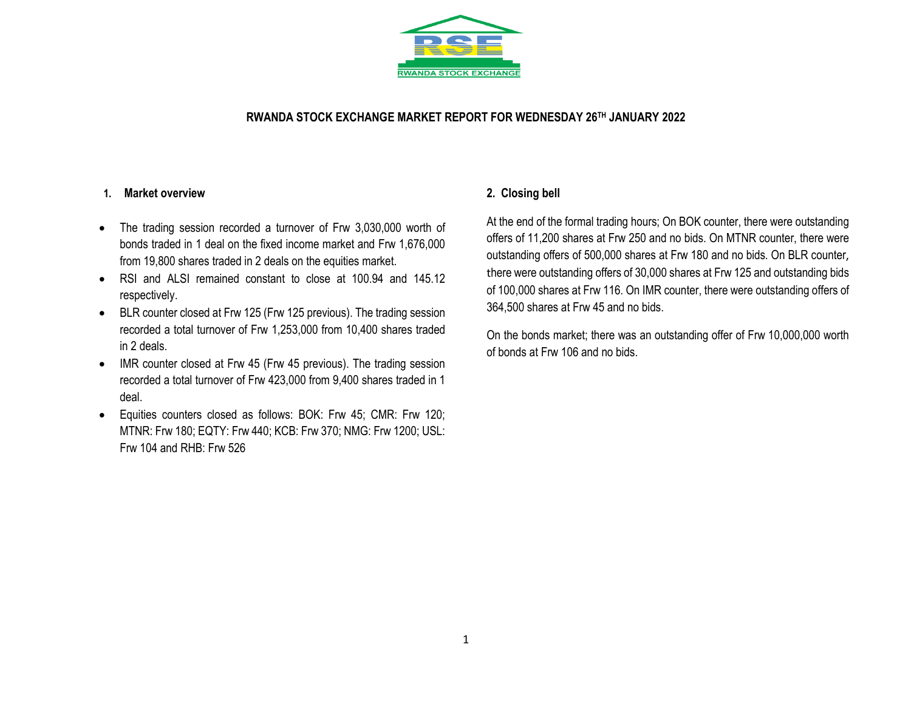

## **RWANDA STOCK EXCHANGE MARKET REPORT FOR WEDNESDAY 26 TH JANUARY 2022**

#### **1. Market overview**

- The trading session recorded a turnover of Frw 3,030,000 worth of bonds traded in 1 deal on the fixed income market and Frw 1,676,000 from 19,800 shares traded in 2 deals on the equities market.
- RSI and ALSI remained constant to close at 100.94 and 145.12 respectively.
- BLR counter closed at Frw 125 (Frw 125 previous). The trading session recorded a total turnover of Frw 1,253,000 from 10,400 shares traded in 2 deals.
- IMR counter closed at Frw 45 (Frw 45 previous). The trading session recorded a total turnover of Frw 423,000 from 9,400 shares traded in 1 deal.
- Equities counters closed as follows: BOK: Frw 45; CMR: Frw 120; MTNR: Frw 180; EQTY: Frw 440; KCB: Frw 370; NMG: Frw 1200; USL: Frw 104 and RHB: Frw 526

## **2. Closing bell**

At the end of the formal trading hours; On BOK counter, there were outstanding offers of 11,200 shares at Frw 250 and no bids. On MTNR counter, there were outstanding offers of 500,000 shares at Frw 180 and no bids. On BLR counter, there were outstanding offers of 30,000 shares at Frw 125 and outstanding bids of 100,000 shares at Frw 116. On IMR counter, there were outstanding offers of 364,500 shares at Frw 45 and no bids.

On the bonds market; there was an outstanding offer of Frw 10,000,000 worth of bonds at Frw 106 and no bids.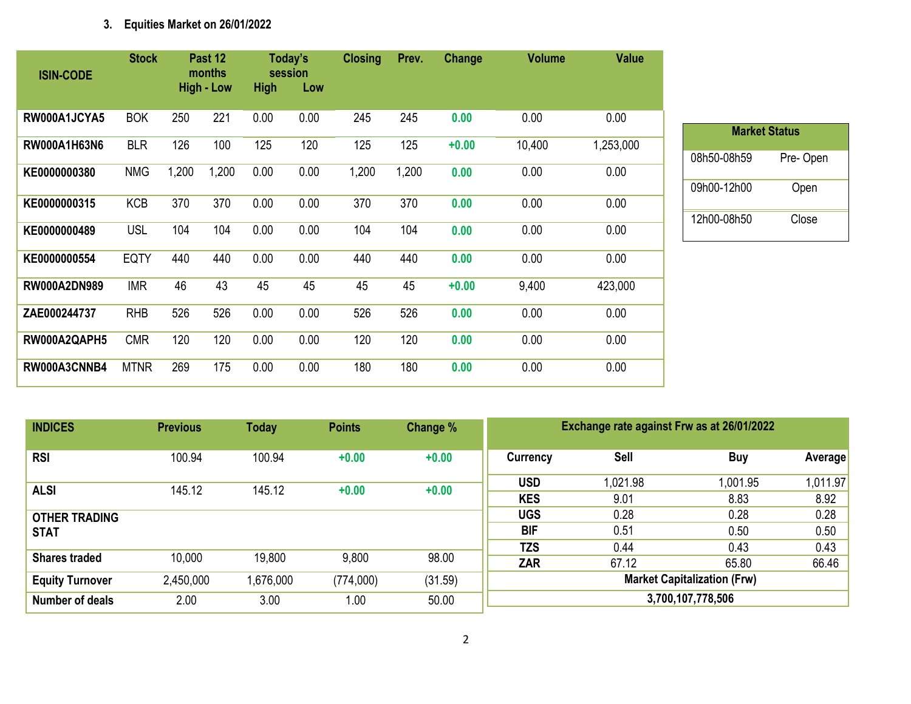# **3. Equities Market on 26/01/2022**

| <b>ISIN-CODE</b>    | <b>Stock</b> |       | Past 12<br>months<br><b>High - Low</b> | <b>High</b> | Today's<br>session<br>Low | <b>Closing</b> | Prev. | Change  | <b>Volume</b> | <b>Value</b> |
|---------------------|--------------|-------|----------------------------------------|-------------|---------------------------|----------------|-------|---------|---------------|--------------|
|                     |              |       |                                        |             |                           |                |       |         |               |              |
| RW000A1JCYA5        | <b>BOK</b>   | 250   | 221                                    | 0.00        | 0.00                      | 245            | 245   | 0.00    | 0.00          | 0.00         |
| RW000A1H63N6        | <b>BLR</b>   | 126   | 100                                    | 125         | 120                       | 125            | 125   | $+0.00$ | 10,400        | 1,253,000    |
| KE0000000380        | <b>NMG</b>   | 1,200 | 1,200                                  | 0.00        | 0.00                      | 1,200          | 1,200 | 0.00    | 0.00          | 0.00         |
| KE0000000315        | <b>KCB</b>   | 370   | 370                                    | 0.00        | 0.00                      | 370            | 370   | 0.00    | 0.00          | 0.00         |
| KE0000000489        | <b>USL</b>   | 104   | 104                                    | 0.00        | 0.00                      | 104            | 104   | 0.00    | 0.00          | 0.00         |
| KE0000000554        | <b>EQTY</b>  | 440   | 440                                    | 0.00        | 0.00                      | 440            | 440   | 0.00    | 0.00          | 0.00         |
| <b>RW000A2DN989</b> | <b>IMR</b>   | 46    | 43                                     | 45          | 45                        | 45             | 45    | $+0.00$ | 9,400         | 423,000      |
| ZAE000244737        | <b>RHB</b>   | 526   | 526                                    | 0.00        | 0.00                      | 526            | 526   | 0.00    | 0.00          | 0.00         |
| RW000A2QAPH5        | <b>CMR</b>   | 120   | 120                                    | 0.00        | 0.00                      | 120            | 120   | 0.00    | 0.00          | 0.00         |
| RW000A3CNNB4        | <b>MTNR</b>  | 269   | 175                                    | 0.00        | 0.00                      | 180            | 180   | 0.00    | 0.00          | 0.00         |

| <b>Market Status</b> |          |  |  |  |  |  |  |  |  |  |
|----------------------|----------|--|--|--|--|--|--|--|--|--|
| 08h50-08h59          | Pre-Open |  |  |  |  |  |  |  |  |  |
| 09h00-12h00          | Open     |  |  |  |  |  |  |  |  |  |
| 12h00-08h50          | Close    |  |  |  |  |  |  |  |  |  |
|                      |          |  |  |  |  |  |  |  |  |  |

**Market Status**

| <b>INDICES</b>                      | <b>Previous</b> | <b>Today</b> | <b>Points</b> | Change % | Exchange rate against Frw as at 26/01/2022 |                  |                  |                  |  |
|-------------------------------------|-----------------|--------------|---------------|----------|--------------------------------------------|------------------|------------------|------------------|--|
| <b>RSI</b>                          | 100.94          | 100.94       | $+0.00$       | $+0.00$  | Currency                                   | <b>Sell</b>      | <b>Buy</b>       | Average          |  |
| <b>ALSI</b>                         | 145.12          | 145.12       | $+0.00$       | $+0.00$  | <b>USD</b><br><b>KES</b>                   | 1.021.98<br>9.01 | 1,001.95<br>8.83 | 1,011.97<br>8.92 |  |
| <b>OTHER TRADING</b><br><b>STAT</b> |                 |              |               |          | <b>UGS</b><br><b>BIF</b>                   | 0.28<br>0.51     | 0.28<br>0.50     | 0.28<br>0.50     |  |
| <b>Shares traded</b>                | 10,000          | 19,800       | 9,800         | 98.00    | <b>TZS</b><br>ZAR                          | 0.44<br>67.12    | 0.43<br>65.80    | 0.43<br>66.46    |  |
| <b>Equity Turnover</b>              | 2,450,000       | 1,676,000    | (774,000)     | (31.59)  | <b>Market Capitalization (Frw)</b>         |                  |                  |                  |  |
| <b>Number of deals</b>              | 2.00            | 3.00         | 1.00          | 50.00    | 3,700,107,778,506                          |                  |                  |                  |  |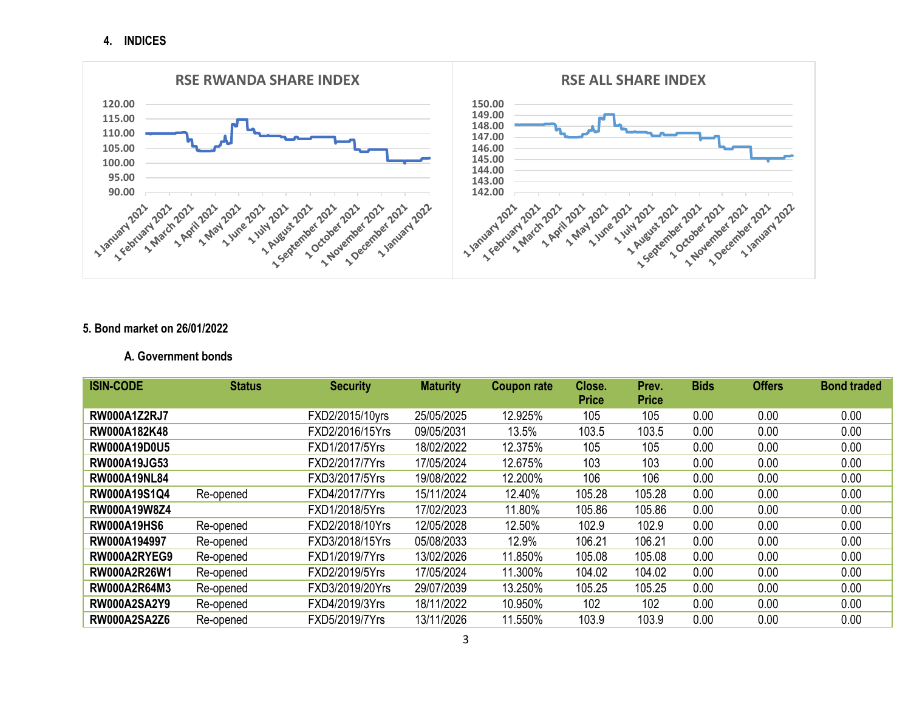**4. INDICES**



### **5. Bond market on 26/01/2022**

#### **A. Government bonds**

| <b>ISIN-CODE</b>    | <b>Status</b> | <b>Security</b> | <b>Maturity</b> | <b>Coupon rate</b> | Close.       | Prev.        | <b>Bids</b> | <b>Offers</b> | <b>Bond traded</b> |
|---------------------|---------------|-----------------|-----------------|--------------------|--------------|--------------|-------------|---------------|--------------------|
|                     |               |                 |                 |                    | <b>Price</b> | <b>Price</b> |             |               |                    |
| <b>RW000A1Z2RJ7</b> |               | FXD2/2015/10yrs | 25/05/2025      | 12.925%            | 105          | 105          | 0.00        | 0.00          | 0.00               |
| RW000A182K48        |               | FXD2/2016/15Yrs | 09/05/2031      | 13.5%              | 103.5        | 103.5        | 0.00        | 0.00          | 0.00               |
| <b>RW000A19D0U5</b> |               | FXD1/2017/5Yrs  | 18/02/2022      | 12.375%            | 105          | 105          | 0.00        | 0.00          | 0.00               |
| <b>RW000A19JG53</b> |               | FXD2/2017/7Yrs  | 17/05/2024      | 12.675%            | 103          | 103          | 0.00        | 0.00          | 0.00               |
| <b>RW000A19NL84</b> |               | FXD3/2017/5Yrs  | 19/08/2022      | 12.200%            | 106          | 106          | 0.00        | 0.00          | 0.00               |
| RW000A19S1Q4        | Re-opened     | FXD4/2017/7Yrs  | 15/11/2024      | 12.40%             | 105.28       | 105.28       | 0.00        | 0.00          | 0.00               |
| <b>RW000A19W8Z4</b> |               | FXD1/2018/5Yrs  | 17/02/2023      | 11.80%             | 105.86       | 105.86       | 0.00        | 0.00          | 0.00               |
| <b>RW000A19HS6</b>  | Re-opened     | FXD2/2018/10Yrs | 12/05/2028      | 12.50%             | 102.9        | 102.9        | 0.00        | 0.00          | 0.00               |
| RW000A194997        | Re-opened     | FXD3/2018/15Yrs | 05/08/2033      | 12.9%              | 106.21       | 106.21       | 0.00        | 0.00          | 0.00               |
| RW000A2RYEG9        | Re-opened     | FXD1/2019/7Yrs  | 13/02/2026      | 11.850%            | 105.08       | 105.08       | 0.00        | 0.00          | 0.00               |
| <b>RW000A2R26W1</b> | Re-opened     | FXD2/2019/5Yrs  | 17/05/2024      | 11.300%            | 104.02       | 104.02       | 0.00        | 0.00          | 0.00               |
| RW000A2R64M3        | Re-opened     | FXD3/2019/20Yrs | 29/07/2039      | 13.250%            | 105.25       | 105.25       | 0.00        | 0.00          | 0.00               |
| <b>RW000A2SA2Y9</b> | Re-opened     | FXD4/2019/3Yrs  | 18/11/2022      | 10.950%            | 102          | 102          | 0.00        | 0.00          | 0.00               |
| <b>RW000A2SA2Z6</b> | Re-opened     | FXD5/2019/7Yrs  | 13/11/2026      | 11.550%            | 103.9        | 103.9        | 0.00        | 0.00          | 0.00               |